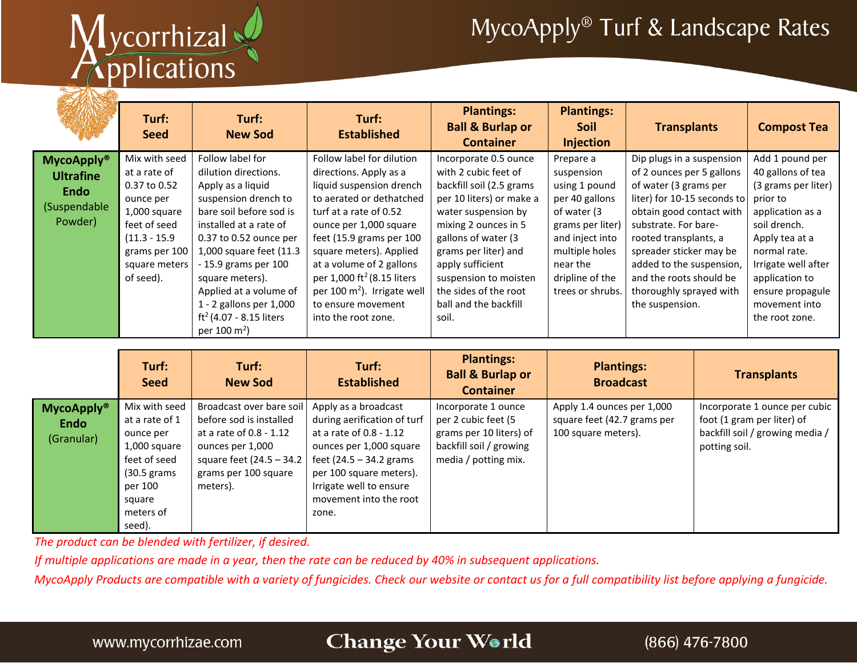# Mycorrhizal

## MycoApply® Turf & Landscape Rates

|                                                                                 | Turf:<br><b>Seed</b>                                                                                                                                         | Turf:<br><b>New Sod</b>                                                                                                                                                                                                                                                                                                                                  | Turf:<br><b>Established</b>                                                                                                                                                                                                                                                                                                                                                | <b>Plantings:</b><br><b>Ball &amp; Burlap or</b><br><b>Container</b>                                                                                                                                                                                                                                        | <b>Plantings:</b><br><b>Soil</b><br><b>Injection</b>                                                                                                                                  | <b>Transplants</b>                                                                                                                                                                                                                                                                                                          | <b>Compost Tea</b>                                                                                                                                                                                                                            |
|---------------------------------------------------------------------------------|--------------------------------------------------------------------------------------------------------------------------------------------------------------|----------------------------------------------------------------------------------------------------------------------------------------------------------------------------------------------------------------------------------------------------------------------------------------------------------------------------------------------------------|----------------------------------------------------------------------------------------------------------------------------------------------------------------------------------------------------------------------------------------------------------------------------------------------------------------------------------------------------------------------------|-------------------------------------------------------------------------------------------------------------------------------------------------------------------------------------------------------------------------------------------------------------------------------------------------------------|---------------------------------------------------------------------------------------------------------------------------------------------------------------------------------------|-----------------------------------------------------------------------------------------------------------------------------------------------------------------------------------------------------------------------------------------------------------------------------------------------------------------------------|-----------------------------------------------------------------------------------------------------------------------------------------------------------------------------------------------------------------------------------------------|
| <b>MycoApply®</b><br><b>Ultrafine</b><br><b>Endo</b><br>(Suspendable<br>Powder) | Mix with seed<br>at a rate of<br>0.37 to 0.52<br>ounce per<br>1,000 square<br>feet of seed<br>$(11.3 - 15.9)$<br>grams per 100<br>square meters<br>of seed). | Follow label for<br>dilution directions.<br>Apply as a liquid<br>suspension drench to<br>bare soil before sod is<br>installed at a rate of<br>0.37 to 0.52 ounce per<br>1,000 square feet (11.3<br>- 15.9 grams per 100<br>square meters).<br>Applied at a volume of<br>1 - 2 gallons per 1,000<br>$ft^2(4.07 - 8.15$ liters<br>per 100 m <sup>2</sup> ) | Follow label for dilution<br>directions. Apply as a<br>liquid suspension drench<br>to aerated or dethatched<br>turf at a rate of 0.52<br>ounce per 1,000 square<br>feet (15.9 grams per 100<br>square meters). Applied<br>at a volume of 2 gallons<br>per 1,000 ft <sup>2</sup> (8.15 liters<br>per 100 $m2$ ). Irrigate well<br>to ensure movement<br>into the root zone. | Incorporate 0.5 ounce<br>with 2 cubic feet of<br>backfill soil (2.5 grams<br>per 10 liters) or make a<br>water suspension by<br>mixing 2 ounces in 5<br>gallons of water (3<br>grams per liter) and<br>apply sufficient<br>suspension to moisten<br>the sides of the root<br>ball and the backfill<br>soil. | Prepare a<br>suspension<br>using 1 pound<br>per 40 gallons<br>of water (3<br>grams per liter)<br>and inject into<br>multiple holes<br>near the<br>dripline of the<br>trees or shrubs. | Dip plugs in a suspension<br>of 2 ounces per 5 gallons<br>of water (3 grams per<br>liter) for 10-15 seconds to<br>obtain good contact with<br>substrate. For bare-<br>rooted transplants, a<br>spreader sticker may be<br>added to the suspension,<br>and the roots should be<br>thoroughly sprayed with<br>the suspension. | Add 1 pound per<br>40 gallons of tea<br>(3 grams per liter)<br>prior to<br>application as a<br>soil drench.<br>Apply tea at a<br>normal rate.<br>Irrigate well after<br>application to<br>ensure propagule<br>movement into<br>the root zone. |

|                                                | Turf:<br><b>Seed</b>                                                                                                                       | Turf:<br><b>New Sod</b>                                                                                                                                               | Turf:<br><b>Established</b>                                                                                                                                                                                                     | <b>Plantings:</b><br><b>Ball &amp; Burlap or</b><br><b>Container</b>                                                     | <b>Plantings:</b><br><b>Broadcast</b>                                            | <b>Transplants</b>                                                                                              |
|------------------------------------------------|--------------------------------------------------------------------------------------------------------------------------------------------|-----------------------------------------------------------------------------------------------------------------------------------------------------------------------|---------------------------------------------------------------------------------------------------------------------------------------------------------------------------------------------------------------------------------|--------------------------------------------------------------------------------------------------------------------------|----------------------------------------------------------------------------------|-----------------------------------------------------------------------------------------------------------------|
| <b>MycoApply®</b><br><b>Endo</b><br>(Granular) | Mix with seed<br>at a rate of 1<br>ounce per<br>1,000 square<br>feet of seed<br>$(30.5)$ grams<br>per 100<br>square<br>meters of<br>seed). | Broadcast over bare soil<br>before sod is installed<br>at a rate of 0.8 - 1.12<br>ounces per 1,000<br>square feet $(24.5 - 34.2)$<br>grams per 100 square<br>meters). | Apply as a broadcast<br>during aerification of turf<br>at a rate of 0.8 - 1.12<br>ounces per 1,000 square<br>feet $(24.5 - 34.2$ grams<br>per 100 square meters).<br>Irrigate well to ensure<br>movement into the root<br>zone. | Incorporate 1 ounce<br>per 2 cubic feet (5<br>grams per 10 liters) of<br>backfill soil / growing<br>media / potting mix. | Apply 1.4 ounces per 1,000<br>square feet (42.7 grams per<br>100 square meters). | Incorporate 1 ounce per cubic<br>foot (1 gram per liter) of<br>backfill soil / growing media /<br>potting soil. |

*The product can be blended with fertilizer, if desired.*

*If multiple applications are made in a year, then the rate can be reduced by 40% in subsequent applications.* 

*MycoApply Products are compatible with a variety of fungicides. Check our website or contact us for a full compatibility list before applying a fungicide.*

#### Change Your World